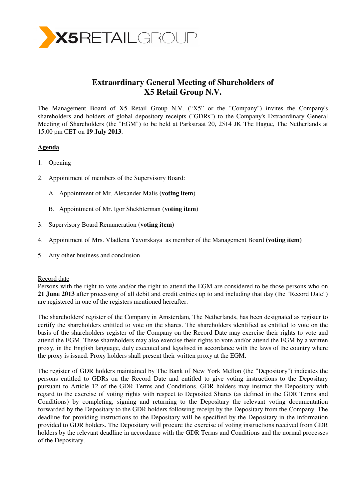

# **Extraordinary General Meeting of Shareholders of X5 Retail Group N.V.**

The Management Board of X5 Retail Group N.V. ("X5" or the "Company") invites the Company's shareholders and holders of global depository receipts ("GDRs") to the Company's Extraordinary General Meeting of Shareholders (the "EGM") to be held at Parkstraat 20, 2514 JK The Hague, The Netherlands at 15.00 pm CET on **19 July 2013**.

## **Agenda**

- 1. Opening
- 2. Appointment of members of the Supervisory Board:
	- A. Appointment of Mr. Alexander Malis (**voting item**)
	- B. Appointment of Mr. Igor Shekhterman (**voting item**)
- 3. Supervisory Board Remuneration (**voting item**)
- 4. Appointment of Mrs. Vladlena Yavorskaya as member of the Management Board **(voting item)**
- 5. Any other business and conclusion

### Record date

Persons with the right to vote and/or the right to attend the EGM are considered to be those persons who on **21 June 2013** after processing of all debit and credit entries up to and including that day (the "Record Date") are registered in one of the registers mentioned hereafter.

The shareholders' register of the Company in Amsterdam, The Netherlands, has been designated as register to certify the shareholders entitled to vote on the shares. The shareholders identified as entitled to vote on the basis of the shareholders register of the Company on the Record Date may exercise their rights to vote and attend the EGM. These shareholders may also exercise their rights to vote and/or attend the EGM by a written proxy, in the English language, duly executed and legalised in accordance with the laws of the country where the proxy is issued. Proxy holders shall present their written proxy at the EGM.

The register of GDR holders maintained by The Bank of New York Mellon (the "Depository") indicates the persons entitled to GDRs on the Record Date and entitled to give voting instructions to the Depositary pursuant to Article 12 of the GDR Terms and Conditions. GDR holders may instruct the Depositary with regard to the exercise of voting rights with respect to Deposited Shares (as defined in the GDR Terms and Conditions) by completing, signing and returning to the Depositary the relevant voting documentation forwarded by the Depositary to the GDR holders following receipt by the Depositary from the Company. The deadline for providing instructions to the Depositary will be specified by the Depositary in the information provided to GDR holders. The Depositary will procure the exercise of voting instructions received from GDR holders by the relevant deadline in accordance with the GDR Terms and Conditions and the normal processes of the Depositary.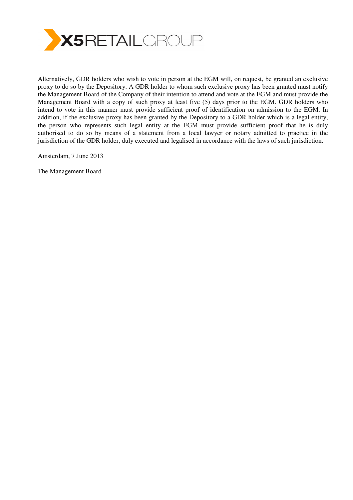

Alternatively, GDR holders who wish to vote in person at the EGM will, on request, be granted an exclusive proxy to do so by the Depository. A GDR holder to whom such exclusive proxy has been granted must notify the Management Board of the Company of their intention to attend and vote at the EGM and must provide the Management Board with a copy of such proxy at least five (5) days prior to the EGM. GDR holders who intend to vote in this manner must provide sufficient proof of identification on admission to the EGM. In addition, if the exclusive proxy has been granted by the Depository to a GDR holder which is a legal entity, the person who represents such legal entity at the EGM must provide sufficient proof that he is duly authorised to do so by means of a statement from a local lawyer or notary admitted to practice in the jurisdiction of the GDR holder, duly executed and legalised in accordance with the laws of such jurisdiction.

Amsterdam, 7 June 2013

The Management Board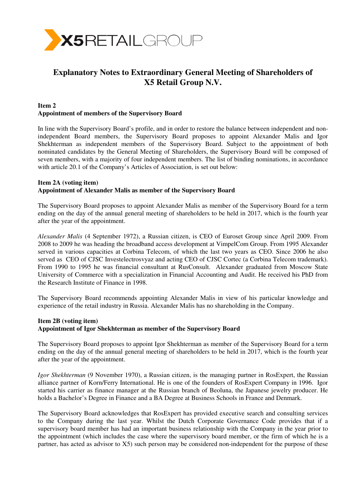

# **Explanatory Notes to Extraordinary General Meeting of Shareholders of X5 Retail Group N.V.**

#### **Item 2 Appointment of members of the Supervisory Board**

In line with the Supervisory Board's profile, and in order to restore the balance between independent and nonindependent Board members, the Supervisory Board proposes to appoint Alexander Malis and Igor Shekhterman as independent members of the Supervisory Board. Subject to the appointment of both nominated candidates by the General Meeting of Shareholders, the Supervisory Board will be composed of seven members, with a majority of four independent members. The list of binding nominations, in accordance with article 20.1 of the Company's Articles of Association, is set out below:

## **Item 2A (voting item) Appointment of Alexander Malis as member of the Supervisory Board**

The Supervisory Board proposes to appoint Alexander Malis as member of the Supervisory Board for a term ending on the day of the annual general meeting of shareholders to be held in 2017, which is the fourth year after the year of the appointment.

*Alexander Malis* (4 September 1972), a Russian citizen, is CEO of Euroset Group since April 2009. From 2008 to 2009 he was heading the broadband access development at VimpelCom Group. From 1995 Alexander served in various capacities at Corbina Telecom, of which the last two years as CEO. Since 2006 he also served as CEO of CJSC Investelectrosvyaz and acting CEO of CJSC Cortec (a Corbina Telecom trademark). From 1990 to 1995 he was financial consultant at RusConsult. Alexander graduated from Moscow State University of Commerce with a specialization in Financial Accounting and Audit. He received his PhD from the Research Institute of Finance in 1998.

The Supervisory Board recommends appointing Alexander Malis in view of his particular knowledge and experience of the retail industry in Russia. Alexander Malis has no shareholding in the Company.

# **Item 2B (voting item) Appointment of Igor Shekhterman as member of the Supervisory Board**

The Supervisory Board proposes to appoint Igor Shekhterman as member of the Supervisory Board for a term ending on the day of the annual general meeting of shareholders to be held in 2017, which is the fourth year after the year of the appointment.

*Igor Shekhterman* (9 November 1970), a Russian citizen, is the managing partner in RosExpert, the Russian alliance partner of Korn/Ferry International. He is one of the founders of RosExpert Company in 1996. Igor started his carrier as finance manager at the Russian branch of Beoluna, the Japanese jewelry producer. He holds a Bachelor's Degree in Finance and a BA Degree at Business Schools in France and Denmark.

The Supervisory Board acknowledges that RosExpert has provided executive search and consulting services to the Company during the last year. Whilst the Dutch Corporate Governance Code provides that if a supervisory board member has had an important business relationship with the Company in the year prior to the appointment (which includes the case where the supervisory board member, or the firm of which he is a partner, has acted as advisor to X5) such person may be considered non-independent for the purpose of these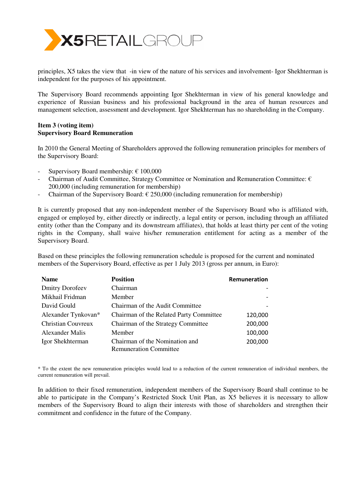

principles, X5 takes the view that -in view of the nature of his services and involvement- Igor Shekhterman is independent for the purposes of his appointment.

The Supervisory Board recommends appointing Igor Shekhterman in view of his general knowledge and experience of Russian business and his professional background in the area of human resources and management selection, assessment and development. Igor Shekhterman has no shareholding in the Company.

### **Item 3 (voting item) Supervisory Board Remuneration**

In 2010 the General Meeting of Shareholders approved the following remuneration principles for members of the Supervisory Board:

- Supervisory Board membership:  $\epsilon$  100,000
- Chairman of Audit Committee, Strategy Committee or Nomination and Remuneration Committee:  $\epsilon$ 200,000 (including remuneration for membership)
- Chairman of the Supervisory Board:  $\epsilon$  250,000 (including remuneration for membership)

It is currently proposed that any non-independent member of the Supervisory Board who is affiliated with, engaged or employed by, either directly or indirectly, a legal entity or person, including through an affiliated entity (other than the Company and its downstream affiliates), that holds at least thirty per cent of the voting rights in the Company, shall waive his/her remuneration entitlement for acting as a member of the Supervisory Board.

Based on these principles the following remuneration schedule is proposed for the current and nominated members of the Supervisory Board, effective as per 1 July 2013 (gross per annum, in Euro):

| <b>Name</b>            | <b>Position</b>                         | Remuneration |
|------------------------|-----------------------------------------|--------------|
| <b>Dmitry Dorofeev</b> | Chairman                                |              |
| Mikhail Fridman        | Member                                  |              |
| David Gould            | Chairman of the Audit Committee         |              |
| Alexander Tynkovan*    | Chairman of the Related Party Committee | 120,000      |
| Christian Couvreux     | Chairman of the Strategy Committee      | 200,000      |
| Alexander Malis        | Member                                  | 100,000      |
| Igor Shekhterman       | Chairman of the Nomination and          | 200,000      |
|                        | <b>Remuneration Committee</b>           |              |

\* To the extent the new remuneration principles would lead to a reduction of the current remuneration of individual members, the current remuneration will prevail.

In addition to their fixed remuneration, independent members of the Supervisory Board shall continue to be able to participate in the Company's Restricted Stock Unit Plan, as X5 believes it is necessary to allow members of the Supervisory Board to align their interests with those of shareholders and strengthen their commitment and confidence in the future of the Company.